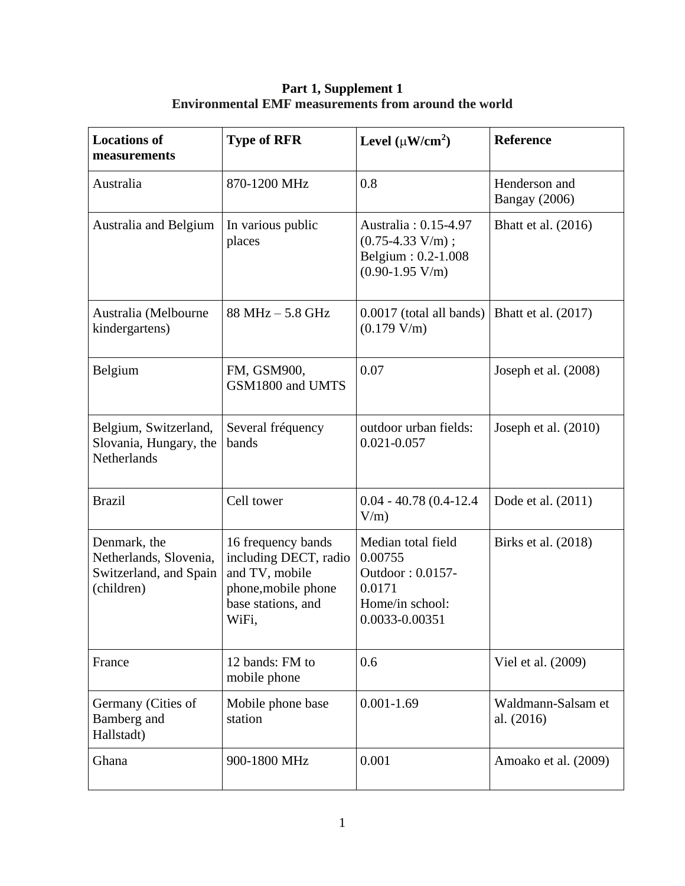| <b>Locations of</b><br>measurements                                            | <b>Type of RFR</b>                                                                                                  | Level $(\mu W/cm^2)$                                                                             | <b>Reference</b>                      |
|--------------------------------------------------------------------------------|---------------------------------------------------------------------------------------------------------------------|--------------------------------------------------------------------------------------------------|---------------------------------------|
| Australia                                                                      | 870-1200 MHz                                                                                                        | 0.8                                                                                              | Henderson and<br><b>Bangay</b> (2006) |
| Australia and Belgium                                                          | In various public<br>places                                                                                         | Australia: 0.15-4.97<br>$(0.75-4.33 V/m);$<br>Belgium: 0.2-1.008<br>$(0.90-1.95 V/m)$            | Bhatt et al. $(2016)$                 |
| Australia (Melbourne<br>kindergartens)                                         | $88 MHz - 5.8 GHz$                                                                                                  | 0.0017 (total all bands)<br>(0.179 V/m)                                                          | Bhatt et al. (2017)                   |
| Belgium                                                                        | FM, GSM900,<br>GSM1800 and UMTS                                                                                     | 0.07                                                                                             | Joseph et al. (2008)                  |
| Belgium, Switzerland,<br>Slovania, Hungary, the<br>Netherlands                 | Several fréquency<br>bands                                                                                          | outdoor urban fields:<br>$0.021 - 0.057$                                                         | Joseph et al. $(2010)$                |
| <b>Brazil</b>                                                                  | Cell tower                                                                                                          | $0.04 - 40.78(0.4 - 12.4)$<br>$V/m$ )                                                            | Dode et al. (2011)                    |
| Denmark, the<br>Netherlands, Slovenia,<br>Switzerland, and Spain<br>(children) | 16 frequency bands<br>including DECT, radio<br>and TV, mobile<br>phone, mobile phone<br>base stations, and<br>WiFi, | Median total field<br>0.00755<br>Outdoor: 0.0157-<br>0.0171<br>Home/in school:<br>0.0033-0.00351 | Birks et al. (2018)                   |
| France                                                                         | 12 bands: FM to<br>mobile phone                                                                                     | 0.6                                                                                              | Viel et al. (2009)                    |
| Germany (Cities of<br>Bamberg and<br>Hallstadt)                                | Mobile phone base<br>station                                                                                        | $0.001 - 1.69$                                                                                   | Waldmann-Salsam et<br>al. (2016)      |
| Ghana                                                                          | 900-1800 MHz                                                                                                        | 0.001                                                                                            | Amoako et al. (2009)                  |

**Part 1, Supplement 1 Environmental EMF measurements from around the world**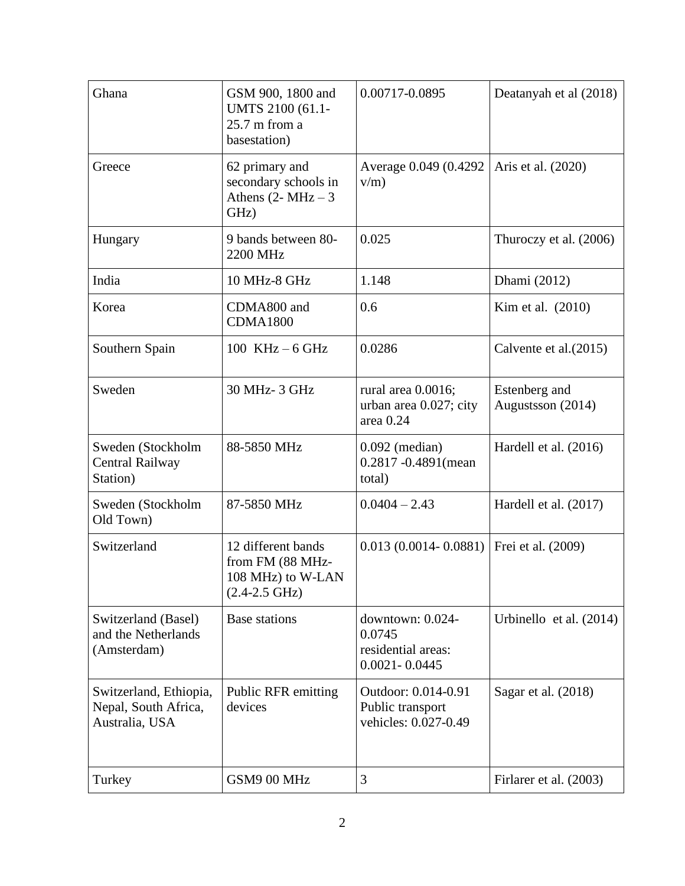| Ghana                                                            | GSM 900, 1800 and<br>UMTS 2100 (61.1-<br>$25.7$ m from a<br>basestation)               | 0.00717-0.0895                                                        | Deatanyah et al (2018)             |
|------------------------------------------------------------------|----------------------------------------------------------------------------------------|-----------------------------------------------------------------------|------------------------------------|
| Greece                                                           | 62 primary and<br>secondary schools in<br>Athens $(2-MHz-3)$<br>GHz)                   | Average 0.049 (0.4292)<br>$v/m$ )                                     | Aris et al. (2020)                 |
| Hungary                                                          | 9 bands between 80-<br>2200 MHz                                                        | 0.025                                                                 | Thuroczy et al. (2006)             |
| India                                                            | 10 MHz-8 GHz                                                                           | 1.148                                                                 | Dhami (2012)                       |
| Korea                                                            | CDMA800 and<br><b>CDMA1800</b>                                                         | 0.6                                                                   | Kim et al. (2010)                  |
| Southern Spain                                                   | 100 KHz $-6$ GHz                                                                       | 0.0286                                                                | Calvente et al. (2015)             |
| Sweden                                                           | 30 MHz-3 GHz                                                                           | rural area 0.0016;<br>urban area 0.027; city<br>area 0.24             | Estenberg and<br>Augustsson (2014) |
| Sweden (Stockholm<br>Central Railway<br>Station)                 | 88-5850 MHz                                                                            | $0.092$ (median)<br>0.2817 -0.4891 (mean<br>total)                    | Hardell et al. $(2016)$            |
| Sweden (Stockholm<br>Old Town)                                   | 87-5850 MHz                                                                            | $0.0404 - 2.43$                                                       | Hardell et al. (2017)              |
| Switzerland                                                      | 12 different bands<br>from FM (88 MHz-<br>108 MHz) to W-LAN<br>$(2.4-2.5 \text{ GHz})$ | $0.013(0.0014 - 0.0881)$                                              | Frei et al. (2009)                 |
| Switzerland (Basel)<br>and the Netherlands<br>(Amsterdam)        | <b>Base stations</b>                                                                   | downtown: 0.024-<br>0.0745<br>residential areas:<br>$0.0021 - 0.0445$ | Urbinello et al. (2014)            |
| Switzerland, Ethiopia,<br>Nepal, South Africa,<br>Australia, USA | <b>Public RFR emitting</b><br>devices                                                  | Outdoor: 0.014-0.91<br>Public transport<br>vehicles: 0.027-0.49       | Sagar et al. (2018)                |
| Turkey                                                           | GSM9 00 MHz                                                                            | 3                                                                     | Firlarer et al. (2003)             |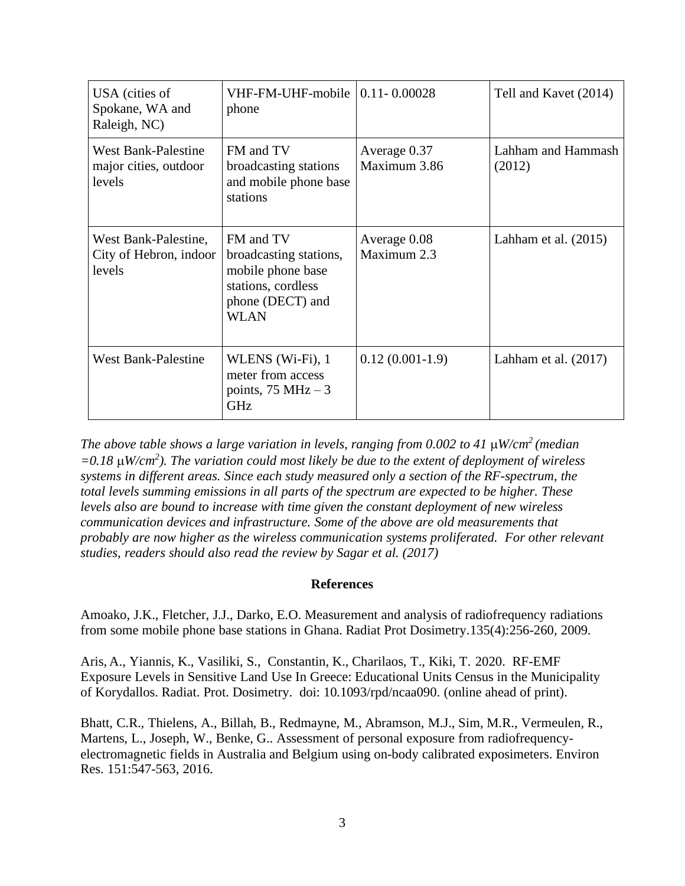| USA (cities of<br>Spokane, WA and<br>Raleigh, NC)             | VHF-FM-UHF-mobile   0.11- 0.00028<br>phone                                                                        |                              | Tell and Kavet (2014)        |
|---------------------------------------------------------------|-------------------------------------------------------------------------------------------------------------------|------------------------------|------------------------------|
| <b>West Bank-Palestine</b><br>major cities, outdoor<br>levels | FM and TV<br>broadcasting stations<br>and mobile phone base<br>stations                                           | Average 0.37<br>Maximum 3.86 | Lahham and Hammash<br>(2012) |
| West Bank-Palestine,<br>City of Hebron, indoor<br>levels      | FM and TV<br>broadcasting stations,<br>mobile phone base<br>stations, cordless<br>phone (DECT) and<br><b>WLAN</b> | Average 0.08<br>Maximum 2.3  | Lahham et al. $(2015)$       |
| <b>West Bank-Palestine</b>                                    | WLENS (Wi-Fi), 1<br>meter from access<br>points, $75 MHz - 3$<br><b>GHz</b>                                       | $0.12(0.001-1.9)$            | Lahham et al. $(2017)$       |

*The above table shows a large variation in levels, ranging from 0.002 to 41 W/cm<sup>2</sup> (median =0.18 W/cm<sup>2</sup> ). The variation could most likely be due to the extent of deployment of wireless systems in different areas. Since each study measured only a section of the RF-spectrum, the total levels summing emissions in all parts of the spectrum are expected to be higher. These levels also are bound to increase with time given the constant deployment of new wireless communication devices and infrastructure. Some of the above are old measurements that probably are now higher as the wireless communication systems proliferated. For other relevant studies, readers should also read the review by Sagar et al. (2017)*

## **References**

[Amoako,](http://www.ncbi.nlm.nih.gov/pubmed?term=%252522Amoako%252520JK%252522%25255BAuthor%25255D) J.K., [Fletcher,](http://www.ncbi.nlm.nih.gov/pubmed?term=%252522Fletcher%252520JJ%252522%25255BAuthor%25255D) J.J., [Darko,](http://www.ncbi.nlm.nih.gov/pubmed?term=%252522Darko%252520EO%252522%25255BAuthor%25255D) E.O. Measurement and analysis of radiofrequency radiations from some mobile phone base stations in Ghana. Radiat Prot Dosimetry.135(4):256-260, 2009.

[Aris,](https://pubmed.ncbi.nlm.nih.gov/?term=Aris+A&cauthor_id=32667037) A., [Yiannis,](https://pubmed.ncbi.nlm.nih.gov/?term=Yiannis+K&cauthor_id=32667037) K., [Vasiliki,](https://pubmed.ncbi.nlm.nih.gov/?term=Vasiliki+S&cauthor_id=32667037) S., [Constantin,](https://pubmed.ncbi.nlm.nih.gov/?term=Constantin+K&cauthor_id=32667037) K., [Charilaos,](https://pubmed.ncbi.nlm.nih.gov/?term=Constantin+K&cauthor_id=32667037) T., [Kiki,](https://pubmed.ncbi.nlm.nih.gov/?term=Constantin+K&cauthor_id=32667037) T. [2](https://pubmed.ncbi.nlm.nih.gov/?term=Constantin+K&cauthor_id=32667037)020. RF-EMF Exposure Levels in Sensitive Land Use In Greece: Educational Units Census in the Municipality of Korydallos. Radiat. Prot. Dosimetry. doi: 10.1093/rpd/ncaa090. (online ahead of print).

[Bhatt,](https://www.ncbi.nlm.nih.gov/pubmed/?term=Bhatt%252520CR%25255BAuthor%25255D&cauthor=true&cauthor_uid=27588949) C.R., [Thielens,](https://www.ncbi.nlm.nih.gov/pubmed/?term=Thielens%252520A%25255BAuthor%25255D&cauthor=true&cauthor_uid=27588949) A., [Billah,](https://www.ncbi.nlm.nih.gov/pubmed/?term=Billah%252520B%25255BAuthor%25255D&cauthor=true&cauthor_uid=27588949) B., [Redmayne,](https://www.ncbi.nlm.nih.gov/pubmed/?term=Redmayne%252520M%25255BAuthor%25255D&cauthor=true&cauthor_uid=27588949) M., [Abramson,](https://www.ncbi.nlm.nih.gov/pubmed/?term=Abramson%252520MJ%25255BAuthor%25255D&cauthor=true&cauthor_uid=27588949) M.J., Sim, [M.R.](https://www.ncbi.nlm.nih.gov/pubmed/?term=Sim%252520MR%25255BAuthor%25255D&cauthor=true&cauthor_uid=27588949), [Vermeulen,](https://www.ncbi.nlm.nih.gov/pubmed/?term=Vermeulen%252520R%25255BAuthor%25255D&cauthor=true&cauthor_uid=27588949) R., [Martens,](https://www.ncbi.nlm.nih.gov/pubmed/?term=Martens%252520L%25255BAuthor%25255D&cauthor=true&cauthor_uid=27588949) L., [Joseph,](https://www.ncbi.nlm.nih.gov/pubmed/?term=Joseph%252520W%25255BAuthor%25255D&cauthor=true&cauthor_uid=27588949) W., [Benke,](https://www.ncbi.nlm.nih.gov/pubmed/?term=Benke%252520G%25255BAuthor%25255D&cauthor=true&cauthor_uid=27588949) G.. Assessment of personal exposure from radiofrequencyelectromagnetic fields in Australia and Belgium using on-body calibrated exposimeters. [Environ](https://www.ncbi.nlm.nih.gov/pubmed/27588949) [Res.](https://www.ncbi.nlm.nih.gov/pubmed/27588949) 151:547-563, 2016.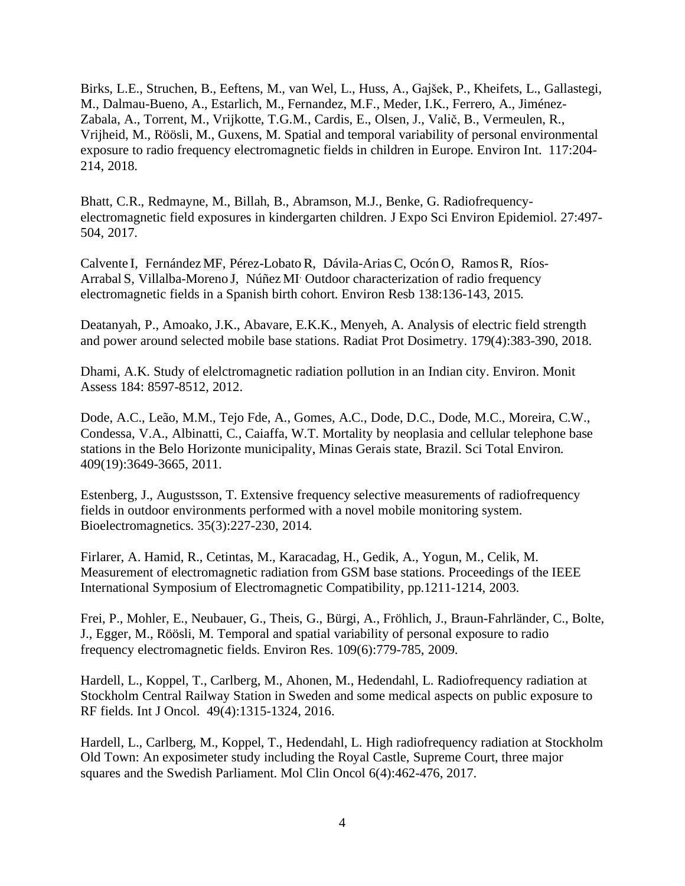[Birks,](https://www.ncbi.nlm.nih.gov/pubmed/?term=Birks%252520LE%25255BAuthor%25255D&cauthor=true&cauthor_uid=29754001) L.E., [Struchen,](https://www.ncbi.nlm.nih.gov/pubmed/?term=Struchen%252520B%25255BAuthor%25255D&cauthor=true&cauthor_uid=29754001) B., [Eeftens,](https://www.ncbi.nlm.nih.gov/pubmed/?term=Eeftens%252520M%25255BAuthor%25255D&cauthor=true&cauthor_uid=29754001) M., van [Wel,](https://www.ncbi.nlm.nih.gov/pubmed/?term=van%252520Wel%252520L%25255BAuthor%25255D&cauthor=true&cauthor_uid=29754001) L., [Huss,](https://www.ncbi.nlm.nih.gov/pubmed/?term=Huss%252520A%25255BAuthor%25255D&cauthor=true&cauthor_uid=29754001) A., [Gajšek,](https://www.ncbi.nlm.nih.gov/pubmed/?term=Gaj%2525C5%2525A1ek%252520P%25255BAuthor%25255D&cauthor=true&cauthor_uid=29754001) P., [Kheifets,](https://www.ncbi.nlm.nih.gov/pubmed/?term=Kheifets%252520L%25255BAuthor%25255D&cauthor=true&cauthor_uid=29754001) L., [Gallastegi,](https://www.ncbi.nlm.nih.gov/pubmed/?term=Gallastegi%252520M%25255BAuthor%25255D&cauthor=true&cauthor_uid=29754001) [M.](https://www.ncbi.nlm.nih.gov/pubmed/?term=Gallastegi%252520M%25255BAuthor%25255D&cauthor=true&cauthor_uid=29754001), [Dalmau-Bueno,](https://www.ncbi.nlm.nih.gov/pubmed/?term=Dalmau-Bueno%252520A%25255BAuthor%25255D&cauthor=true&cauthor_uid=29754001) A., [Estarlich,](https://www.ncbi.nlm.nih.gov/pubmed/?term=Estarlich%252520M%25255BAuthor%25255D&cauthor=true&cauthor_uid=29754001) M., [Fernandez,](https://www.ncbi.nlm.nih.gov/pubmed/?term=Fernandez%252520MF%25255BAuthor%25255D&cauthor=true&cauthor_uid=29754001) M.F., [Meder,](https://www.ncbi.nlm.nih.gov/pubmed/?term=Meder%252520IK%25255BAuthor%25255D&cauthor=true&cauthor_uid=29754001) I.K., [Ferrero,](https://www.ncbi.nlm.nih.gov/pubmed/?term=Ferrero%252520A%25255BAuthor%25255D&cauthor=true&cauthor_uid=29754001) A., [Jiménez-](https://www.ncbi.nlm.nih.gov/pubmed/?term=Jim%2525C3%2525A9nez-Zabala%252520A%25255BAuthor%25255D&cauthor=true&cauthor_uid=29754001)[Zabala,](https://www.ncbi.nlm.nih.gov/pubmed/?term=Jim%2525C3%2525A9nez-Zabala%252520A%25255BAuthor%25255D&cauthor=true&cauthor_uid=29754001) A., [Torrent,](https://www.ncbi.nlm.nih.gov/pubmed/?term=Torrent%252520M%25255BAuthor%25255D&cauthor=true&cauthor_uid=29754001) M., [Vrijkotte,](https://www.ncbi.nlm.nih.gov/pubmed/?term=Vrijkotte%252520TGM%25255BAuthor%25255D&cauthor=true&cauthor_uid=29754001) T.G.M., [Cardis,](https://www.ncbi.nlm.nih.gov/pubmed/?term=Cardis%252520E%25255BAuthor%25255D&cauthor=true&cauthor_uid=29754001) E., [Olsen,](https://www.ncbi.nlm.nih.gov/pubmed/?term=Olsen%252520J%25255BAuthor%25255D&cauthor=true&cauthor_uid=29754001) J., [Valič,](https://www.ncbi.nlm.nih.gov/pubmed/?term=Vali%2525C4%25258D%252520B%25255BAuthor%25255D&cauthor=true&cauthor_uid=29754001) B., [Vermeulen,](https://www.ncbi.nlm.nih.gov/pubmed/?term=Vermeulen%252520R%25255BAuthor%25255D&cauthor=true&cauthor_uid=29754001) R., [Vrijheid,](https://www.ncbi.nlm.nih.gov/pubmed/?term=Vrijheid%252520M%25255BAuthor%25255D&cauthor=true&cauthor_uid=29754001) M., [Röösli,](https://www.ncbi.nlm.nih.gov/pubmed/?term=R%2525C3%2525B6%2525C3%2525B6sli%252520M%25255BAuthor%25255D&cauthor=true&cauthor_uid=29754001) M., [Guxens,](https://www.ncbi.nlm.nih.gov/pubmed/?term=Guxens%252520M%25255BAuthor%25255D&cauthor=true&cauthor_uid=29754001) M. Spatial and temporal variability of personal environmental exposure to radio frequency electromagnetic fields in children in Europe. [Environ](https://www.ncbi.nlm.nih.gov/pubmed/?term=birks+le) Int. 117:204- 214, 2018.

[Bhatt,](https://www.ncbi.nlm.nih.gov/pubmed/?term=Bhatt%252520CR%25255BAuthor%25255D&cauthor=true&cauthor_uid=27759027) C.R., [Redmayne,](https://www.ncbi.nlm.nih.gov/pubmed/?term=Redmayne%252520M%25255BAuthor%25255D&cauthor=true&cauthor_uid=27759027) M., [Billah,](https://www.ncbi.nlm.nih.gov/pubmed/?term=Billah%252520B%25255BAuthor%25255D&cauthor=true&cauthor_uid=27759027) B., [Abramson,](https://www.ncbi.nlm.nih.gov/pubmed/?term=Abramson%252520MJ%25255BAuthor%25255D&cauthor=true&cauthor_uid=27759027) M.J., [Benke,](https://www.ncbi.nlm.nih.gov/pubmed/?term=Benke%252520G%25255BAuthor%25255D&cauthor=true&cauthor_uid=27759027) G. Radiofrequencyelectromagnetic field exposures in kindergarten children. J Expo Sci Environ [Epidemiol.](https://www.ncbi.nlm.nih.gov/pubmed/27759027) 27:497- 504, 2017.

[Calvente](https://pubmed.ncbi.nlm.nih.gov/?sort=pubdate&term=Calvente+I&cauthor_id=25707018) [I,](https://pubmed.ncbi.nlm.nih.gov/25707018/#affiliation-1) [Fernández](https://pubmed.ncbi.nlm.nih.gov/?sort=pubdate&term=Fern%C3%A1ndez+MF&cauthor_id=25707018) [MF,](https://pubmed.ncbi.nlm.nih.gov/25707018/#affiliation-2) [Pérez-Lobato](https://pubmed.ncbi.nlm.nih.gov/?sort=pubdate&term=P%C3%A9rez-Lobato+R&cauthor_id=25707018)[R,](https://pubmed.ncbi.nlm.nih.gov/25707018/#affiliation-3) [Dávila-Arias](https://pubmed.ncbi.nlm.nih.gov/?sort=pubdate&term=D%C3%A1vila-Arias+C&cauthor_id=25707018) [C,](https://pubmed.ncbi.nlm.nih.gov/25707018/#affiliation-3) [Ocón](https://pubmed.ncbi.nlm.nih.gov/?sort=pubdate&term=Oc%C3%B3n+O&cauthor_id=25707018) [O,](https://pubmed.ncbi.nlm.nih.gov/25707018/#affiliation-3) [Ramos](https://pubmed.ncbi.nlm.nih.gov/?sort=pubdate&term=Ramos+R&cauthor_id=25707018)[R,](https://pubmed.ncbi.nlm.nih.gov/25707018/#affiliation-3) [Ríos-](https://pubmed.ncbi.nlm.nih.gov/?sort=pubdate&term=R%C3%ADos-Arrabal+S&cauthor_id=25707018)[Arrabal](https://pubmed.ncbi.nlm.nih.gov/?sort=pubdate&term=R%C3%ADos-Arrabal+S&cauthor_id=25707018) [S,](https://pubmed.ncbi.nlm.nih.gov/25707018/#affiliation-1) [Villalba-Moreno](https://pubmed.ncbi.nlm.nih.gov/?sort=pubdate&term=Villalba-Moreno+J&cauthor_id=25707018) [J,](https://pubmed.ncbi.nlm.nih.gov/25707018/#affiliation-4) [Núñez](https://pubmed.ncbi.nlm.nih.gov/?sort=pubdate&term=N%C3%BA%C3%B1ez+MI&cauthor_id=25707018) MI. Outdoor characterization of radio frequency electromagnetic fields in a Spanish birth cohort. Environ Resb 138:136-143, 2015.

[Deatanyah,](https://www.ncbi.nlm.nih.gov/pubmed/?term=Deatanyah%252520P%25255BAuthor%25255D&cauthor=true&cauthor_uid=29342305) P., [Amoako,](https://www.ncbi.nlm.nih.gov/pubmed/?term=Amoako%252520JK%25255BAuthor%25255D&cauthor=true&cauthor_uid=29342305) J.K., [Abavare,](https://www.ncbi.nlm.nih.gov/pubmed/?term=Abavare%252520EKK%25255BAuthor%25255D&cauthor=true&cauthor_uid=29342305) E.K.K., [Menyeh,](https://www.ncbi.nlm.nih.gov/pubmed/?term=Menyeh%252520A%25255BAuthor%25255D&cauthor=true&cauthor_uid=29342305) A. Analysis of electric field strength and power around selected mobile base stations. Radiat Prot [Dosimetry.](https://www.ncbi.nlm.nih.gov/pubmed/29342305) 179(4):383-390, 2018.

Dhami, A.K. Study of elelctromagnetic radiation pollution in an Indian city. Environ. Monit Assess 184: 8597-8512, 2012.

[Dode,](http://www.ncbi.nlm.nih.gov/pubmed?term=Dode%252520AC%25255BAuthor%25255D&cauthor=true&cauthor_uid=21741680) A.C., [Leão,](http://www.ncbi.nlm.nih.gov/pubmed?term=Le%2525C3%2525A3o%252520MM%25255BAuthor%25255D&cauthor=true&cauthor_uid=21741680) M.M., [Tejo](http://www.ncbi.nlm.nih.gov/pubmed?term=Tejo%252520Fde%252520A%25255BAuthor%25255D&cauthor=true&cauthor_uid=21741680) Fde, A., [Gomes,](http://www.ncbi.nlm.nih.gov/pubmed?term=Gomes%252520AC%25255BAuthor%25255D&cauthor=true&cauthor_uid=21741680) A.C., [Dode,](http://www.ncbi.nlm.nih.gov/pubmed?term=Dode%252520DC%25255BAuthor%25255D&cauthor=true&cauthor_uid=21741680) D.C., [Dode,](http://www.ncbi.nlm.nih.gov/pubmed?term=Dode%252520MC%25255BAuthor%25255D&cauthor=true&cauthor_uid=21741680) M.C., [Moreira,](http://www.ncbi.nlm.nih.gov/pubmed?term=Moreira%252520CW%25255BAuthor%25255D&cauthor=true&cauthor_uid=21741680) C.W., [Condessa,](http://www.ncbi.nlm.nih.gov/pubmed?term=Condessa%252520VA%25255BAuthor%25255D&cauthor=true&cauthor_uid=21741680) V.A., [Albinatti,](http://www.ncbi.nlm.nih.gov/pubmed?term=Albinatti%252520C%25255BAuthor%25255D&cauthor=true&cauthor_uid=21741680) C., [Caiaffa,](http://www.ncbi.nlm.nih.gov/pubmed?term=Caiaffa%252520WT%25255BAuthor%25255D&cauthor=true&cauthor_uid=21741680) W.T. Mortality by neoplasia and cellular telephone base stations in the Belo Horizonte municipality, Minas Gerais state, Brazil. Sci Total [Environ.](http://www.ncbi.nlm.nih.gov/pubmed/21741680) 409(19):3649-3665, 2011.

Estenberg, J., Augustsson, T. Extensive frequency selective measurements of [radiofrequency](http://www.ncbi.nlm.nih.gov/pubmed/24375568) fields in outdoor [environments](http://www.ncbi.nlm.nih.gov/pubmed/24375568) performed with a novel mobile monitoring system. Bioelectromagnetics. 35(3):227-230, 2014.

Firlarer, A. Hamid, R., Cetintas, M., Karacadag, H., Gedik, A., Yogun, M., Celik, M. Measurement of electromagnetic radiation from GSM base stations. Proceedings of the IEEE International Symposium of Electromagnetic Compatibility, pp.1211-1214, 2003.

[Frei,](http://www.ncbi.nlm.nih.gov/pubmed?term=%252522Frei%252520P%252522%25255BAuthor%25255D) P., [Mohler,](http://www.ncbi.nlm.nih.gov/pubmed?term=%252522Mohler%252520E%252522%25255BAuthor%25255D) E., [Neubauer,](http://www.ncbi.nlm.nih.gov/pubmed?term=%252522Neubauer%252520G%252522%25255BAuthor%25255D) G., [Theis,](http://www.ncbi.nlm.nih.gov/pubmed?term=%252522Theis%252520G%252522%25255BAuthor%25255D) G., [Bürgi,](http://www.ncbi.nlm.nih.gov/pubmed?term=%252522B%2525C3%2525BCrgi%252520A%252522%25255BAuthor%25255D) A., [Fröhlich,](http://www.ncbi.nlm.nih.gov/pubmed?term=%252522Fr%2525C3%2525B6hlich%252520J%252522%25255BAuthor%25255D) J., [Braun-Fahrländer,](http://www.ncbi.nlm.nih.gov/pubmed?term=%252522Braun-Fahrl%2525C3%2525A4nder%252520C%252522%25255BAuthor%25255D) C., [Bolte,](http://www.ncbi.nlm.nih.gov/pubmed?term=%252522Bolte%252520J%252522%25255BAuthor%25255D) [J.](http://www.ncbi.nlm.nih.gov/pubmed?term=%252522Bolte%252520J%252522%25255BAuthor%25255D), [Egger,](http://www.ncbi.nlm.nih.gov/pubmed?term=%252522Egger%252520M%252522%25255BAuthor%25255D) M., [Röösli,](http://www.ncbi.nlm.nih.gov/pubmed?term=%252522R%2525C3%2525B6%2525C3%2525B6sli%252520M%252522%25255BAuthor%25255D) M. Temporal and spatial variability of personal exposure to radio frequency electromagnetic fields. Environ Res. 109(6):779-785, 2009.

[Hardell,](https://www.ncbi.nlm.nih.gov/pubmed/?term=Hardell%252520L%25255BAuthor%25255D&cauthor=true&cauthor_uid=27633090) L., [Koppel,](https://www.ncbi.nlm.nih.gov/pubmed/?term=Koppel%252520T%25255BAuthor%25255D&cauthor=true&cauthor_uid=27633090) T., [Carlberg,](https://www.ncbi.nlm.nih.gov/pubmed/?term=Carlberg%252520M%25255BAuthor%25255D&cauthor=true&cauthor_uid=27633090) M., [Ahonen,](https://www.ncbi.nlm.nih.gov/pubmed/?term=Ahonen%252520M%25255BAuthor%25255D&cauthor=true&cauthor_uid=27633090) M., [Hedendahl,](https://www.ncbi.nlm.nih.gov/pubmed/?term=Hedendahl%252520L%25255BAuthor%25255D&cauthor=true&cauthor_uid=27633090) L. Radiofrequency radiation at Stockholm Central Railway Station in Sweden and some medical aspects on public exposure to RF fields. Int J [Oncol.](https://www.ncbi.nlm.nih.gov/pubmed/27633090) 49(4):1315-1324, 2016.

Hardell, L., Carlberg, M., Koppel, T., Hedendahl, L. High radiofrequency radiation at Stockholm Old Town: An exposimeter study including the Royal Castle, Supreme Court, three major squares and the Swedish Parliament. Mol Clin Oncol 6(4):462-476, 2017.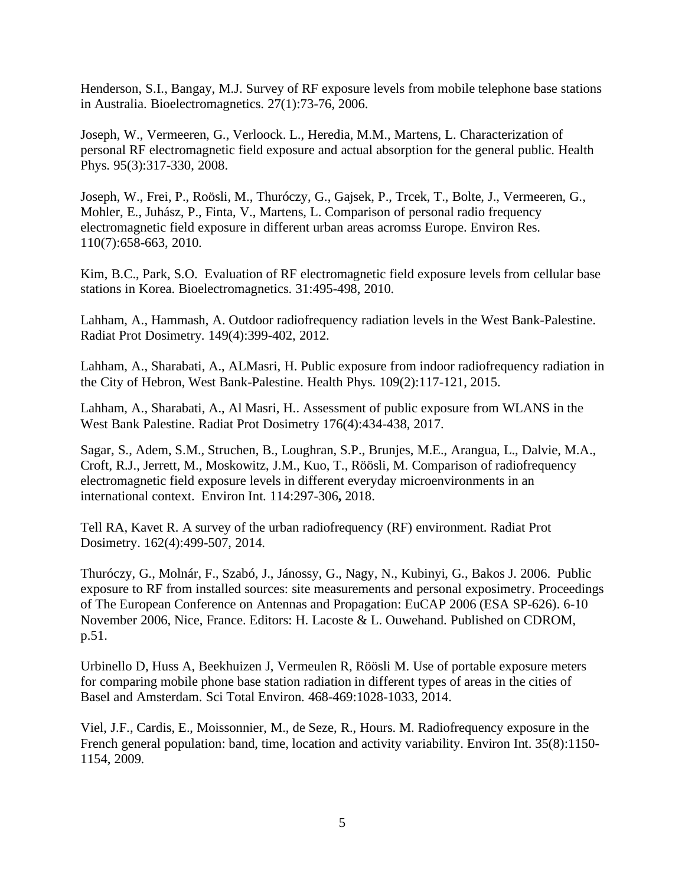[Henderson,](http://www.ncbi.nlm.nih.gov/pubmed?term=%252522Henderson%252520SI%252522%25255BAuthor%25255D) S.I., [Bangay,](http://www.ncbi.nlm.nih.gov/pubmed?term=%252522Bangay%252520MJ%252522%25255BAuthor%25255D) M.J. Survey of RF exposure levels from mobile telephone base stations in Australia. Bioelectromagnetics. 27(1):73-76, 2006.

[Joseph,](http://www.ncbi.nlm.nih.gov/pubmed?term=%252522Joseph%252520W%252522%25255BAuthor%25255D) W., [Vermeeren,](http://www.ncbi.nlm.nih.gov/pubmed?term=%252522Vermeeren%252520G%252522%25255BAuthor%25255D) G., [Verloock.](http://www.ncbi.nlm.nih.gov/pubmed?term=%252522Verloock%252520L%252522%25255BAuthor%25255D) L., [Heredia,](http://www.ncbi.nlm.nih.gov/pubmed?term=%252522Heredia%252520MM%252522%25255BAuthor%25255D) M.M., [Martens,](http://www.ncbi.nlm.nih.gov/pubmed?term=%252522Martens%252520L%252522%25255BAuthor%25255D) L. Characterization of personal RF electromagnetic field exposure and actual absorption for the general public. Health Phys. 95(3):317-330, 2008.

[Joseph,](https://www.ncbi.nlm.nih.gov/pubmed/?term=Joseph%252520W%25255BAuthor%25255D&cauthor=true&cauthor_uid=20638656) W., [Frei,](https://www.ncbi.nlm.nih.gov/pubmed/?term=Frei%252520P%25255BAuthor%25255D&cauthor=true&cauthor_uid=20638656) P., [Roösli,](https://www.ncbi.nlm.nih.gov/pubmed/?term=Ro%2525C3%2525B6sli%252520M%25255BAuthor%25255D&cauthor=true&cauthor_uid=20638656) M., [Thuróczy,](https://www.ncbi.nlm.nih.gov/pubmed/?term=Thur%2525C3%2525B3czy%252520G%25255BAuthor%25255D&cauthor=true&cauthor_uid=20638656) G., [Gajsek,](https://www.ncbi.nlm.nih.gov/pubmed/?term=Gajsek%252520P%25255BAuthor%25255D&cauthor=true&cauthor_uid=20638656) P., [Trcek,](https://www.ncbi.nlm.nih.gov/pubmed/?term=Trcek%252520T%25255BAuthor%25255D&cauthor=true&cauthor_uid=20638656) T., [Bolte,](https://www.ncbi.nlm.nih.gov/pubmed/?term=Bolte%252520J%25255BAuthor%25255D&cauthor=true&cauthor_uid=20638656) J., [Vermeeren,](https://www.ncbi.nlm.nih.gov/pubmed/?term=Vermeeren%252520G%25255BAuthor%25255D&cauthor=true&cauthor_uid=20638656) G., [Mohler,](https://www.ncbi.nlm.nih.gov/pubmed/?term=Mohler%252520E%25255BAuthor%25255D&cauthor=true&cauthor_uid=20638656) E., [Juhász,](https://www.ncbi.nlm.nih.gov/pubmed/?term=Juh%2525C3%2525A1sz%252520P%25255BAuthor%25255D&cauthor=true&cauthor_uid=20638656) P., [Finta,](https://www.ncbi.nlm.nih.gov/pubmed/?term=Finta%252520V%25255BAuthor%25255D&cauthor=true&cauthor_uid=20638656) V., [Martens,](https://www.ncbi.nlm.nih.gov/pubmed/?term=Martens%252520L%25255BAuthor%25255D&cauthor=true&cauthor_uid=20638656) L. Comparison of personal radio frequency electromagnetic field exposure in different urban areas acromss Europe. [Environ](https://www.ncbi.nlm.nih.gov/pubmed/20638656) Res. 110(7):658-663, 2010.

[Kim,](http://www.ncbi.nlm.nih.gov/pubmed?term=%252522Kim%252520BC%252522%25255BAuthor%25255D) B.C., [Park,](http://www.ncbi.nlm.nih.gov/pubmed?term=%252522Park%252520SO%252522%25255BAuthor%25255D) S.O. Evaluation of RF electromagnetic field exposure levels from cellular base stations in Korea. Bioelectromagnetics. 31:495-498, 2010.

[Lahham,](https://www.ncbi.nlm.nih.gov/pubmed/?term=Lahham%252520A%25255BAuthor%25255D&cauthor=true&cauthor_uid=21835841) A., [Hammash,](https://www.ncbi.nlm.nih.gov/pubmed/?term=Hammash%252520A%25255BAuthor%25255D&cauthor=true&cauthor_uid=21835841) A. Outdoor radiofrequency radiation levels in the West Bank-Palestine. Radiat Prot [Dosimetry.](https://www.ncbi.nlm.nih.gov/pubmed/21835841) 149(4):399-402, 2012.

[Lahham,](https://www.ncbi.nlm.nih.gov/pubmed/?term=Lahham%252520A%25255BAuthor%25255D&cauthor=true&cauthor_uid=26107432) A., [Sharabati,](https://www.ncbi.nlm.nih.gov/pubmed/?term=Sharabati%252520A%25255BAuthor%25255D&cauthor=true&cauthor_uid=26107432) A., [ALMasri,](https://www.ncbi.nlm.nih.gov/pubmed/?term=ALMasri%252520H%25255BAuthor%25255D&cauthor=true&cauthor_uid=26107432) H. Public exposure from indoor radiofrequency radiation in the City of Hebron, West Bank-Palestine. [Health](https://www.ncbi.nlm.nih.gov/pubmed/26107432) Phys. 109(2):117-121, 2015.

[Lahham,](https://www.ncbi.nlm.nih.gov/pubmed/?term=Lahham%252520A%25255BAuthor%25255D&cauthor=true&cauthor_uid=28338865) A., [Sharabati,](https://www.ncbi.nlm.nih.gov/pubmed/?term=Sharabati%252520A%25255BAuthor%25255D&cauthor=true&cauthor_uid=28338865) A., Al [Masri,](https://www.ncbi.nlm.nih.gov/pubmed/?term=ALMasri%252520H%25255BAuthor%25255D&cauthor=true&cauthor_uid=28338865) H.. Assessment of public exposure from WLANS in the West Bank Palestine. Radiat Prot Dosimetry 176(4):434-438, 2017.

[Sagar,](https://www.ncbi.nlm.nih.gov/pubmed/?term=Sagar%252520S%25255BAuthor%25255D&cauthor=true&cauthor_uid=29529581) S., [Adem,](https://www.ncbi.nlm.nih.gov/pubmed/?term=Adem%252520SM%25255BAuthor%25255D&cauthor=true&cauthor_uid=29529581) S.M., [Struchen,](https://www.ncbi.nlm.nih.gov/pubmed/?term=Struchen%252520B%25255BAuthor%25255D&cauthor=true&cauthor_uid=29529581) B., [Loughran,](https://www.ncbi.nlm.nih.gov/pubmed/?term=Loughran%252520SP%25255BAuthor%25255D&cauthor=true&cauthor_uid=29529581) S.P., [Brunjes,](https://www.ncbi.nlm.nih.gov/pubmed/?term=Brunjes%252520ME%25255BAuthor%25255D&cauthor=true&cauthor_uid=29529581) M.E., [Arangua,](https://www.ncbi.nlm.nih.gov/pubmed/?term=Arangua%252520L%25255BAuthor%25255D&cauthor=true&cauthor_uid=29529581) L., [Dalvie,](https://www.ncbi.nlm.nih.gov/pubmed/?term=Dalvie%252520MA%25255BAuthor%25255D&cauthor=true&cauthor_uid=29529581) M.A., [Croft,](https://www.ncbi.nlm.nih.gov/pubmed/?term=Croft%252520RJ%25255BAuthor%25255D&cauthor=true&cauthor_uid=29529581) R.J., [Jerrett,](https://www.ncbi.nlm.nih.gov/pubmed/?term=Jerrett%252520M%25255BAuthor%25255D&cauthor=true&cauthor_uid=29529581) M., [Moskowitz,](https://www.ncbi.nlm.nih.gov/pubmed/?term=Moskowitz%252520JM%25255BAuthor%25255D&cauthor=true&cauthor_uid=29529581) J.M., [Kuo,](https://www.ncbi.nlm.nih.gov/pubmed/?term=Kuo%252520T%25255BAuthor%25255D&cauthor=true&cauthor_uid=29529581) T., [Röösli,](https://www.ncbi.nlm.nih.gov/pubmed/?term=R%2525C3%2525B6%2525C3%2525B6sli%252520M%25255BAuthor%25255D&cauthor=true&cauthor_uid=29529581) M. Comparison of radiofrequency electromagnetic field exposure levels in different everyday microenvironments in an international context.[Environ](https://www.ncbi.nlm.nih.gov/pubmed/29529581) Int. 114:297-306**,** 2018.

[Tell](https://www.ncbi.nlm.nih.gov/pubmed/?term=Tell%252520RA%25255BAuthor%25255D&cauthor=true&cauthor_uid=24567499) RA, [Kavet](https://www.ncbi.nlm.nih.gov/pubmed/?term=Kavet%252520R%25255BAuthor%25255D&cauthor=true&cauthor_uid=24567499) R. A survey of the urban radiofrequency (RF) environment. [Radiat](https://www.ncbi.nlm.nih.gov/pubmed/24567499) Prot [Dosimetry.](https://www.ncbi.nlm.nih.gov/pubmed/24567499) 162(4):499-507, 2014.

Thuróczy, G., Molnár, F., Szabó, J., Jánossy, G., Nagy, N., Kubinyi, G., Bakos J. 2006. Public exposure to RF from installed sources: site measurements and personal exposimetry. Proceedings of The European Conference on Antennas and Propagation: EuCAP 2006 (ESA SP-626). 6-10 November 2006, Nice, France. Editors: H. Lacoste & L. Ouwehand. Published on CDROM, p.51.

[Urbinello](http://www.ncbi.nlm.nih.gov/pubmed?term=Urbinello%252520D%25255BAuthor%25255D&cauthor=true&cauthor_uid=24091124) D, [Huss](http://www.ncbi.nlm.nih.gov/pubmed?term=Huss%252520A%25255BAuthor%25255D&cauthor=true&cauthor_uid=24091124) A, [Beekhuizen](http://www.ncbi.nlm.nih.gov/pubmed?term=Beekhuizen%252520J%25255BAuthor%25255D&cauthor=true&cauthor_uid=24091124) J, [Vermeulen](http://www.ncbi.nlm.nih.gov/pubmed?term=Vermeulen%252520R%25255BAuthor%25255D&cauthor=true&cauthor_uid=24091124) R, [Röösli](http://www.ncbi.nlm.nih.gov/pubmed?term=R%2525C3%2525B6%2525C3%2525B6sli%252520M%25255BAuthor%25255D&cauthor=true&cauthor_uid=24091124) M. Use of portable exposure meters for comparing mobile phone base station radiation in different types of areas in the cities of Basel and Amsterdam. Sci Total [Environ.](http://www.ncbi.nlm.nih.gov/pubmed/24091124) 468-469:1028-1033, 2014.

[Viel,](http://www.ncbi.nlm.nih.gov/pubmed?term=%252522Viel%252520JF%252522%25255BAuthor%25255D) J.F., [Cardis,](http://www.ncbi.nlm.nih.gov/pubmed?term=%252522Cardis%252520E%252522%25255BAuthor%25255D) E., [Moissonnier,](http://www.ncbi.nlm.nih.gov/pubmed?term=%252522Moissonnier%252520M%252522%25255BAuthor%25255D) M., de [Seze,](http://www.ncbi.nlm.nih.gov/pubmed?term=%252522de%252520Seze%252520R%252522%25255BAuthor%25255D) R., [Hours.](http://www.ncbi.nlm.nih.gov/pubmed?term=%252522Hours%252520M%252522%25255BAuthor%25255D) M. Radiofrequency exposure in the French general population: band, time, location and activity variability. Environ Int. 35(8):1150- 1154, 2009.